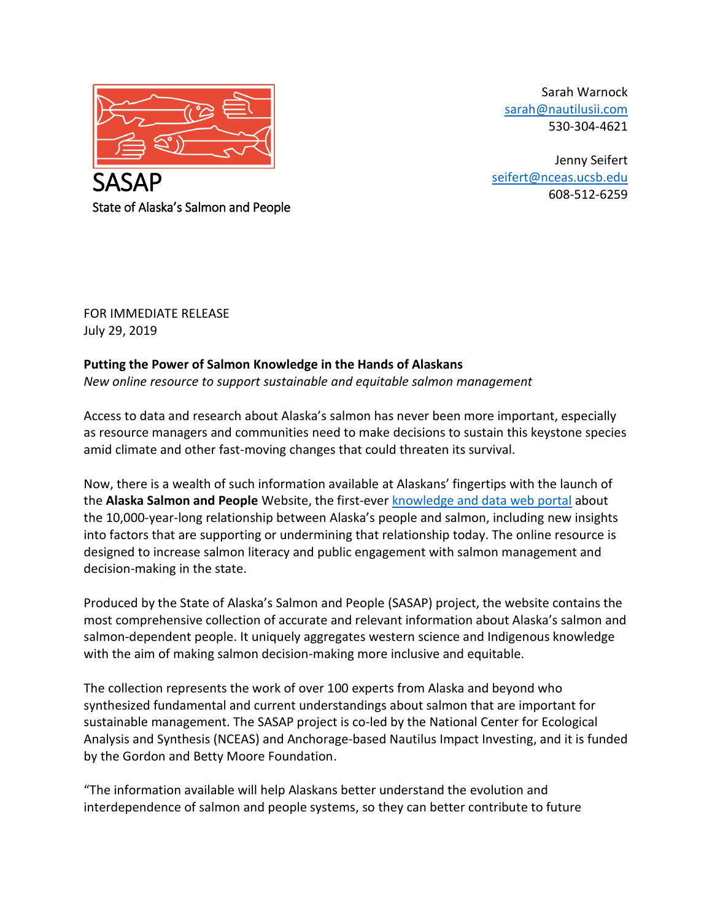

Sarah Warnock [sarah@nautilusii.com](mailto:sarah@nautilusii.com) 530-304-4621

Jenny Seifert [seifert@nceas.ucsb.edu](mailto:seifert@nceas.ucsb.edu) 608-512-6259

State of Alaska's Salmon and People

FOR IMMEDIATE RELEASE July 29, 2019

## **Putting the Power of Salmon Knowledge in the Hands of Alaskans**

*New online resource to support sustainable and equitable salmon management*

Access to data and research about Alaska's salmon has never been more important, especially as resource managers and communities need to make decisions to sustain this keystone species amid climate and other fast-moving changes that could threaten its survival.

Now, there is a wealth of such information available at Alaskans' fingertips with the launch of the **Alaska Salmon and People** Website, the first-ever [knowledge](https://alaskasalmonandpeople.org/) and data web portal about the 10,000-year-long relationship between Alaska's people and salmon, including new insights into factors that are supporting or undermining that relationship today. The online resource is designed to increase salmon literacy and public engagement with salmon management and decision-making in the state.

Produced by the State of Alaska's Salmon and People (SASAP) project, the website contains the most comprehensive collection of accurate and relevant information about Alaska's salmon and salmon-dependent people. It uniquely aggregates western science and Indigenous knowledge with the aim of making salmon decision-making more inclusive and equitable.

The collection represents the work of over 100 experts from Alaska and beyond who synthesized fundamental and current understandings about salmon that are important for sustainable management. The SASAP project is co-led by the National Center for Ecological Analysis and Synthesis (NCEAS) and Anchorage-based Nautilus Impact Investing, and it is funded by the Gordon and Betty Moore Foundation.

"The information available will help Alaskans better understand the evolution and interdependence of salmon and people systems, so they can better contribute to future